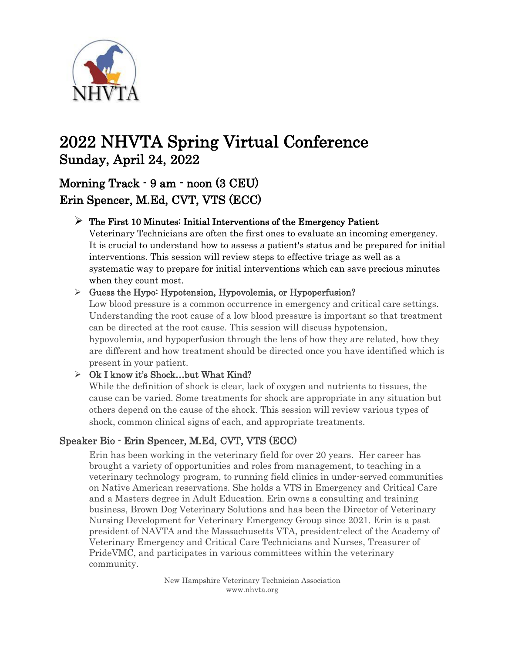

# 2022 NHVTA Spring Virtual Conference Sunday, April 24, 2022

## Morning Track - 9 am - noon (3 CEU) Erin Spencer, M.Ed, CVT, VTS (ECC)

### $\triangleright$  The First 10 Minutes: Initial Interventions of the Emergency Patient

Veterinary Technicians are often the first ones to evaluate an incoming emergency. It is crucial to understand how to assess a patient's status and be prepared for initial interventions. This session will review steps to effective triage as well as a systematic way to prepare for initial interventions which can save precious minutes when they count most.

#### ➢ Guess the Hypo: Hypotension, Hypovolemia, or Hypoperfusion?

Low blood pressure is a common occurrence in emergency and critical care settings. Understanding the root cause of a low blood pressure is important so that treatment can be directed at the root cause. This session will discuss hypotension, hypovolemia, and hypoperfusion through the lens of how they are related, how they are different and how treatment should be directed once you have identified which is present in your patient.

#### $\triangleright$  Ok I know it's Shock...but What Kind?

While the definition of shock is clear, lack of oxygen and nutrients to tissues, the cause can be varied. Some treatments for shock are appropriate in any situation but others depend on the cause of the shock. This session will review various types of shock, common clinical signs of each, and appropriate treatments.

### Speaker Bio - Erin Spencer, M.Ed, CVT, VTS (ECC)

Erin has been working in the veterinary field for over 20 years. Her career has brought a variety of opportunities and roles from management, to teaching in a veterinary technology program, to running field clinics in under-served communities on Native American reservations. She holds a VTS in Emergency and Critical Care and a Masters degree in Adult Education. Erin owns a consulting and training business, Brown Dog Veterinary Solutions and has been the Director of Veterinary Nursing Development for Veterinary Emergency Group since 2021. Erin is a past president of NAVTA and the Massachusetts VTA, president-elect of the Academy of Veterinary Emergency and Critical Care Technicians and Nurses, Treasurer of PrideVMC, and participates in various committees within the veterinary community.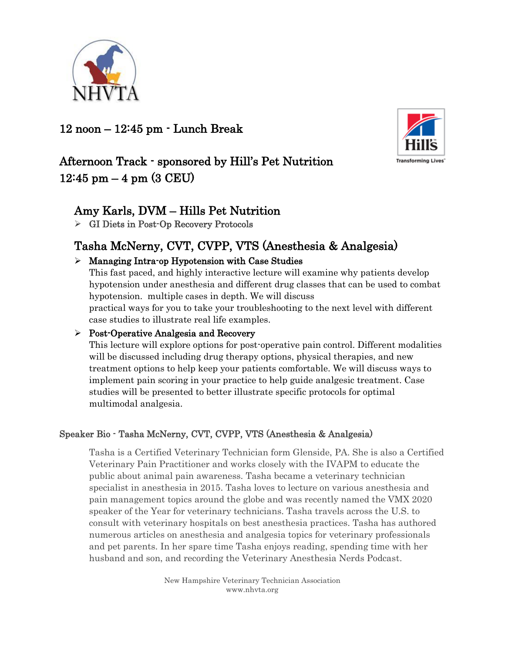

### 12 noon – 12:45 pm - Lunch Break



# Afternoon Track - sponsored by Hill's Pet Nutrition  $12:45$  pm  $-4$  pm  $(3$  CEU)

### Amy Karls, DVM – Hills Pet Nutrition

➢ GI Diets in Post-Op Recovery Protocols

# Tasha McNerny, CVT, CVPP, VTS (Anesthesia & Analgesia)

### ➢ Managing Intra-op Hypotension with Case Studies

This fast paced, and highly interactive lecture will examine why patients develop hypotension under anesthesia and different drug classes that can be used to combat hypotension. multiple cases in depth. We will discuss practical ways for you to take your troubleshooting to the next level with different case studies to illustrate real life examples.

### ➢ Post-Operative Analgesia and Recovery

This lecture will explore options for post-operative pain control. Different modalities will be discussed including drug therapy options, physical therapies, and new treatment options to help keep your patients comfortable. We will discuss ways to implement pain scoring in your practice to help guide analgesic treatment. Case studies will be presented to better illustrate specific protocols for optimal multimodal analgesia.

### Speaker Bio - Tasha McNerny, CVT, CVPP, VTS (Anesthesia & Analgesia)

Tasha is a Certified Veterinary Technician form Glenside, PA. She is also a Certified Veterinary Pain Practitioner and works closely with the IVAPM to educate the public about animal pain awareness. Tasha became a veterinary technician specialist in anesthesia in 2015. Tasha loves to lecture on various anesthesia and pain management topics around the globe and was recently named the VMX 2020 speaker of the Year for veterinary technicians. Tasha travels across the U.S. to consult with veterinary hospitals on best anesthesia practices. Tasha has authored numerous articles on anesthesia and analgesia topics for veterinary professionals and pet parents. In her spare time Tasha enjoys reading, spending time with her husband and son, and recording the Veterinary Anesthesia Nerds Podcast.

> New Hampshire Veterinary Technician Association www.nhvta.org